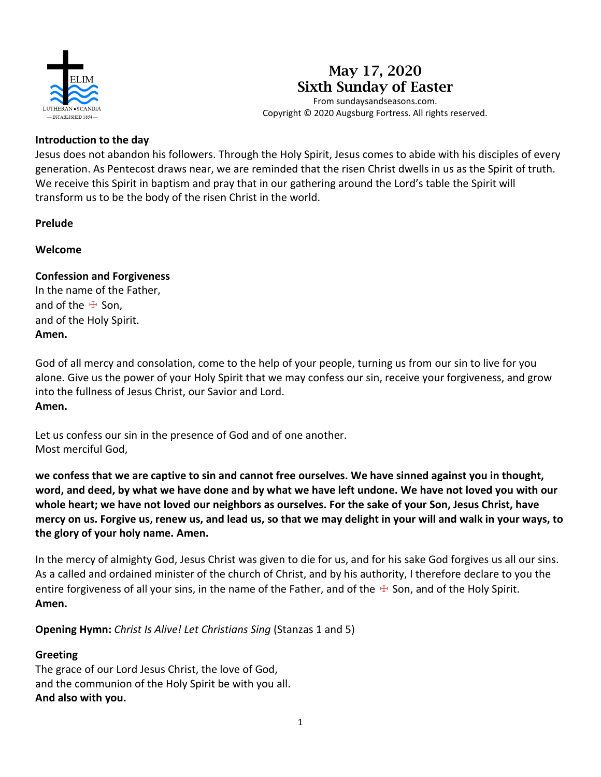

# **May 17, 2020 Sixth Sunday of Easter**

From sundaysandseasons.com. Copyright © 2020 Augsburg Fortress. All rights reserved.

#### **Introduction to the day**

Jesus does not abandon his followers. Through the Holy Spirit, Jesus comes to abide with his disciples of every generation. As Pentecost draws near, we are reminded that the risen Christ dwells in us as the Spirit of truth. We receive this Spirit in baptism and pray that in our gathering around the Lord's table the Spirit will transform us to be the body of the risen Christ in the world.

#### **Prelude**

**Welcome**

# **Confession and Forgiveness**

In the name of the Father, and of the  $#$  Son, and of the Holy Spirit. **Amen.**

God of all mercy and consolation, come to the help of your people, turning us from our sin to live for you alone. Give us the power of your Holy Spirit that we may confess our sin, receive your forgiveness, and grow into the fullness of Jesus Christ, our Savior and Lord. **Amen.**

Let us confess our sin in the presence of God and of one another. Most merciful God,

**we confess that we are captive to sin and cannot free ourselves. We have sinned against you in thought, word, and deed, by what we have done and by what we have left undone. We have not loved you with our whole heart; we have not loved our neighbors as ourselves. For the sake of your Son, Jesus Christ, have mercy on us. Forgive us, renew us, and lead us, so that we may delight in your will and walk in your ways, to the glory of your holy name. Amen.**

In the mercy of almighty God, Jesus Christ was given to die for us, and for his sake God forgives us all our sins. As a called and ordained minister of the church of Christ, and by his authority, I therefore declare to you the entire forgiveness of all your sins, in the name of the Father, and of the  $\pm$  Son, and of the Holy Spirit. **Amen.**

**Opening Hymn:** *Christ Is Alive! Let Christians Sing* (Stanzas 1 and 5)

## **Greeting**

The grace of our Lord Jesus Christ, the love of God, and the communion of the Holy Spirit be with you all. **And also with you.**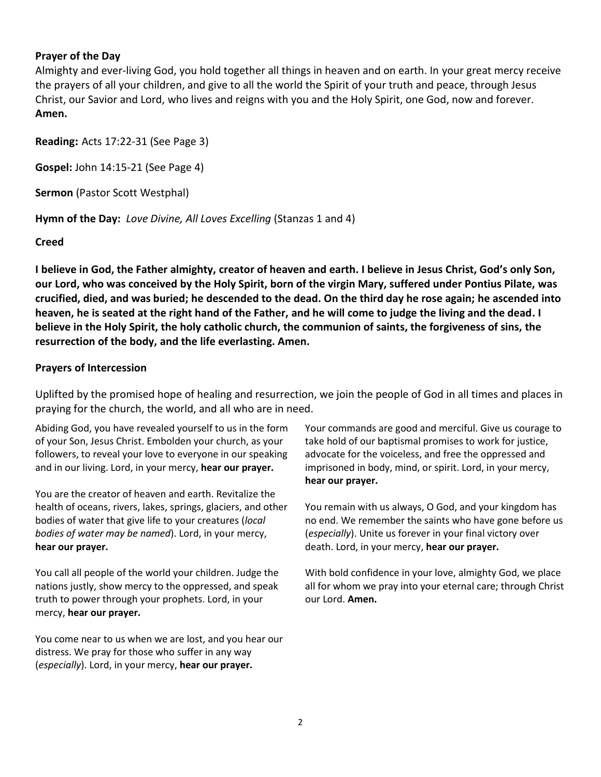#### **Prayer of the Day**

Almighty and ever-living God, you hold together all things in heaven and on earth. In your great mercy receive the prayers of all your children, and give to all the world the Spirit of your truth and peace, through Jesus Christ, our Savior and Lord, who lives and reigns with you and the Holy Spirit, one God, now and forever. **Amen.**

**Reading:** Acts 17:22-31 (See Page 3)

**Gospel:** John 14:15-21 (See Page 4)

**Sermon** (Pastor Scott Westphal)

**Hymn of the Day:** *Love Divine, All Loves Excelling* (Stanzas 1 and 4)

#### **Creed**

**I believe in God, the Father almighty, creator of heaven and earth. I believe in Jesus Christ, God's only Son, our Lord, who was conceived by the Holy Spirit, born of the virgin Mary, suffered under Pontius Pilate, was crucified, died, and was buried; he descended to the dead. On the third day he rose again; he ascended into heaven, he is seated at the right hand of the Father, and he will come to judge the living and the dead. I believe in the Holy Spirit, the holy catholic church, the communion of saints, the forgiveness of sins, the resurrection of the body, and the life everlasting. Amen.**

#### **Prayers of Intercession**

Uplifted by the promised hope of healing and resurrection, we join the people of God in all times and places in praying for the church, the world, and all who are in need.

Abiding God, you have revealed yourself to us in the form of your Son, Jesus Christ. Embolden your church, as your followers, to reveal your love to everyone in our speaking and in our living. Lord, in your mercy, **hear our prayer.**

You are the creator of heaven and earth. Revitalize the health of oceans, rivers, lakes, springs, glaciers, and other bodies of water that give life to your creatures (*local bodies of water may be named*). Lord, in your mercy, **hear our prayer.**

You call all people of the world your children. Judge the nations justly, show mercy to the oppressed, and speak truth to power through your prophets. Lord, in your mercy, **hear our prayer.**

You come near to us when we are lost, and you hear our distress. We pray for those who suffer in any way (*especially*). Lord, in your mercy, **hear our prayer.**

Your commands are good and merciful. Give us courage to take hold of our baptismal promises to work for justice, advocate for the voiceless, and free the oppressed and imprisoned in body, mind, or spirit. Lord, in your mercy, **hear our prayer.**

You remain with us always, O God, and your kingdom has no end. We remember the saints who have gone before us (*especially*). Unite us forever in your final victory over death. Lord, in your mercy, **hear our prayer.**

With bold confidence in your love, almighty God, we place all for whom we pray into your eternal care; through Christ our Lord. **Amen.**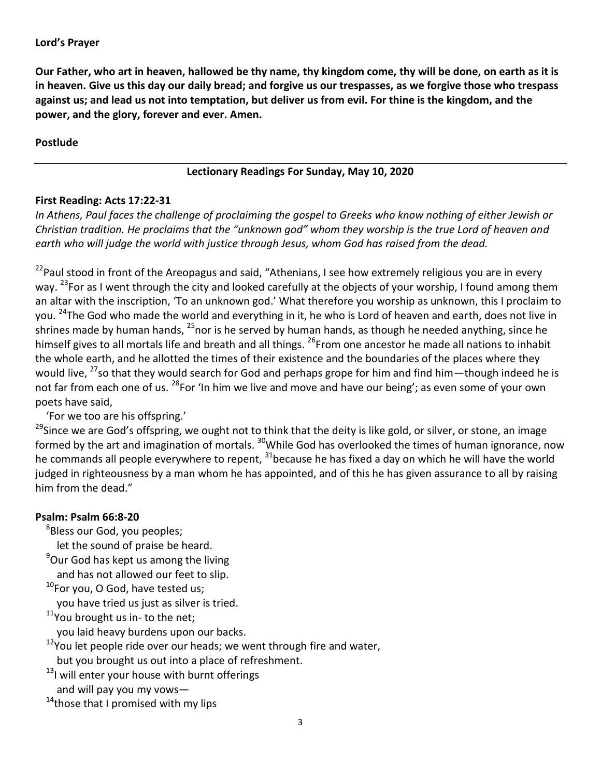**Our Father, who art in heaven, hallowed be thy name, thy kingdom come, thy will be done, on earth as it is in heaven. Give us this day our daily bread; and forgive us our trespasses, as we forgive those who trespass against us; and lead us not into temptation, but deliver us from evil. For thine is the kingdom, and the power, and the glory, forever and ever. Amen.**

#### **Postlude**

# **Lectionary Readings For Sunday, May 10, 2020**

## **First Reading: Acts 17:22-31**

*In Athens, Paul faces the challenge of proclaiming the gospel to Greeks who know nothing of either Jewish or Christian tradition. He proclaims that the "unknown god" whom they worship is the true Lord of heaven and earth who will judge the world with justice through Jesus, whom God has raised from the dead.*

<sup>22</sup> Paul stood in front of the Areopagus and said, "Athenians, I see how extremely religious you are in every way. <sup>23</sup>For as I went through the city and looked carefully at the objects of your worship, I found among them an altar with the inscription, 'To an unknown god.' What therefore you worship as unknown, this I proclaim to you. <sup>24</sup>The God who made the world and everything in it, he who is Lord of heaven and earth, does not live in shrines made by human hands, <sup>25</sup>nor is he served by human hands, as though he needed anything, since he himself gives to all mortals life and breath and all things. <sup>26</sup>From one ancestor he made all nations to inhabit the whole earth, and he allotted the times of their existence and the boundaries of the places where they would live, <sup>27</sup>so that they would search for God and perhaps grope for him and find him—though indeed he is not far from each one of us. <sup>28</sup>For 'In him we live and move and have our being'; as even some of your own poets have said,

'For we too are his offspring.'

<sup>29</sup>Since we are God's offspring, we ought not to think that the deity is like gold, or silver, or stone, an image formed by the art and imagination of mortals. <sup>30</sup>While God has overlooked the times of human ignorance, now he commands all people everywhere to repent,  $^{31}$ because he has fixed a day on which he will have the world judged in righteousness by a man whom he has appointed, and of this he has given assurance to all by raising him from the dead."

## **Psalm: Psalm 66:8-20**

<sup>8</sup>Bless our God, you peoples;

let the sound of praise be heard.

<sup>9</sup>Our God has kept us among the living

and has not allowed our feet to slip.

 $10$ For you, O God, have tested us;

you have tried us just as silver is tried.

 $11$ You brought us in-to the net;

you laid heavy burdens upon our backs.

 $12$ You let people ride over our heads; we went through fire and water,

but you brought us out into a place of refreshment.

<sup>13</sup>I will enter your house with burnt offerings

and will pay you my vows—

 $14$ those that I promised with my lips